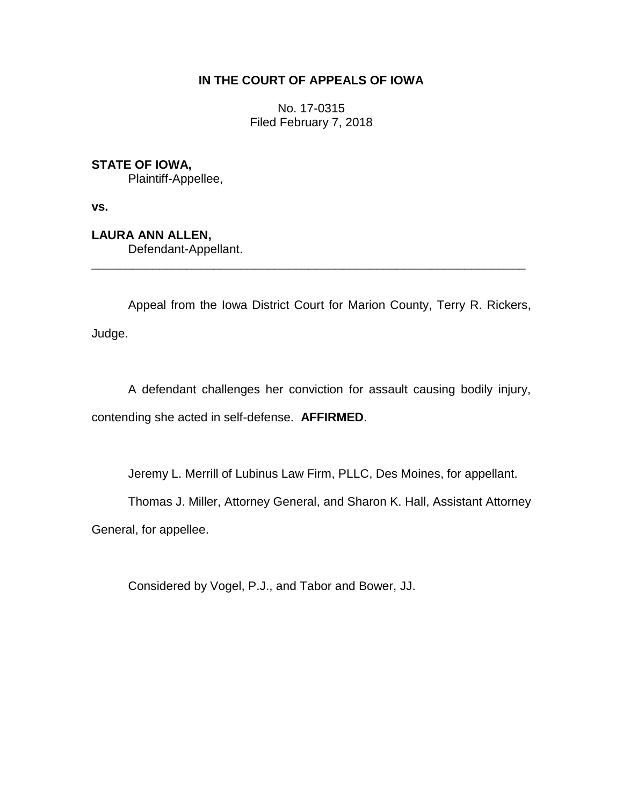# **IN THE COURT OF APPEALS OF IOWA**

No. 17-0315 Filed February 7, 2018

**STATE OF IOWA,**

Plaintiff-Appellee,

**vs.**

**LAURA ANN ALLEN,**

Defendant-Appellant.

Appeal from the Iowa District Court for Marion County, Terry R. Rickers, Judge.

\_\_\_\_\_\_\_\_\_\_\_\_\_\_\_\_\_\_\_\_\_\_\_\_\_\_\_\_\_\_\_\_\_\_\_\_\_\_\_\_\_\_\_\_\_\_\_\_\_\_\_\_\_\_\_\_\_\_\_\_\_\_\_\_

A defendant challenges her conviction for assault causing bodily injury, contending she acted in self-defense. **AFFIRMED**.

Jeremy L. Merrill of Lubinus Law Firm, PLLC, Des Moines, for appellant.

Thomas J. Miller, Attorney General, and Sharon K. Hall, Assistant Attorney

General, for appellee.

Considered by Vogel, P.J., and Tabor and Bower, JJ.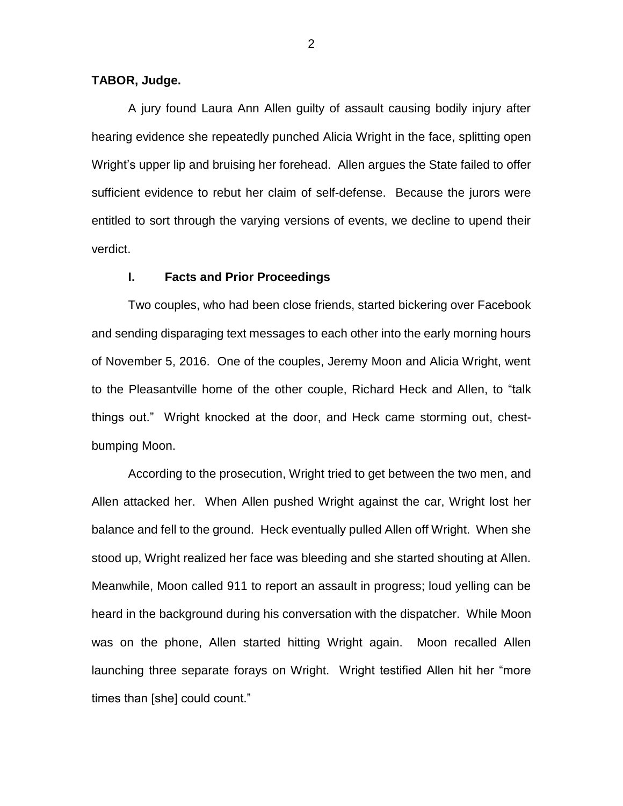## **TABOR, Judge.**

A jury found Laura Ann Allen guilty of assault causing bodily injury after hearing evidence she repeatedly punched Alicia Wright in the face, splitting open Wright's upper lip and bruising her forehead. Allen argues the State failed to offer sufficient evidence to rebut her claim of self-defense. Because the jurors were entitled to sort through the varying versions of events, we decline to upend their verdict.

### **I. Facts and Prior Proceedings**

Two couples, who had been close friends, started bickering over Facebook and sending disparaging text messages to each other into the early morning hours of November 5, 2016. One of the couples, Jeremy Moon and Alicia Wright, went to the Pleasantville home of the other couple, Richard Heck and Allen, to "talk things out." Wright knocked at the door, and Heck came storming out, chestbumping Moon.

According to the prosecution, Wright tried to get between the two men, and Allen attacked her. When Allen pushed Wright against the car, Wright lost her balance and fell to the ground. Heck eventually pulled Allen off Wright. When she stood up, Wright realized her face was bleeding and she started shouting at Allen. Meanwhile, Moon called 911 to report an assault in progress; loud yelling can be heard in the background during his conversation with the dispatcher. While Moon was on the phone, Allen started hitting Wright again. Moon recalled Allen launching three separate forays on Wright. Wright testified Allen hit her "more times than [she] could count."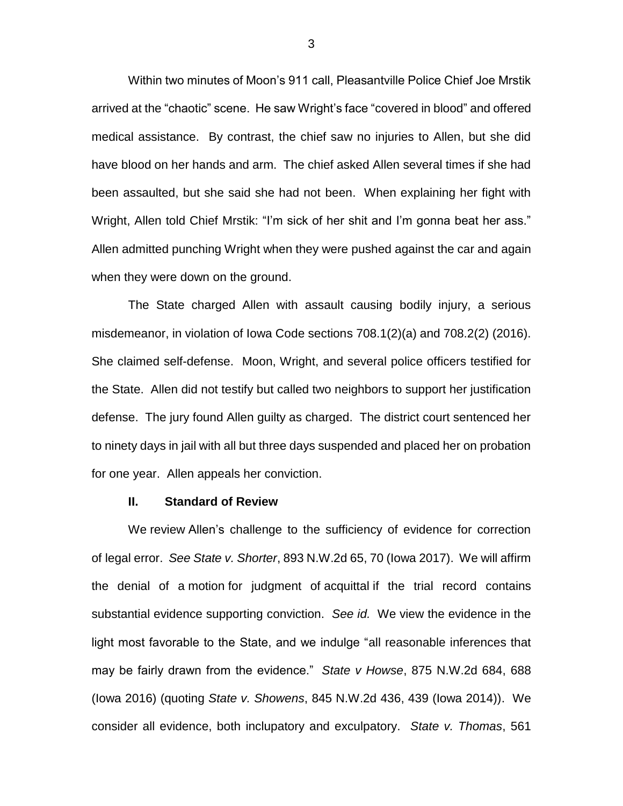Within two minutes of Moon's 911 call, Pleasantville Police Chief Joe Mrstik arrived at the "chaotic" scene. He saw Wright's face "covered in blood" and offered medical assistance. By contrast, the chief saw no injuries to Allen, but she did have blood on her hands and arm. The chief asked Allen several times if she had been assaulted, but she said she had not been. When explaining her fight with Wright, Allen told Chief Mrstik: "I'm sick of her shit and I'm gonna beat her ass." Allen admitted punching Wright when they were pushed against the car and again when they were down on the ground.

The State charged Allen with assault causing bodily injury, a serious misdemeanor, in violation of Iowa Code sections 708.1(2)(a) and 708.2(2) (2016). She claimed self-defense. Moon, Wright, and several police officers testified for the State. Allen did not testify but called two neighbors to support her justification defense. The jury found Allen guilty as charged. The district court sentenced her to ninety days in jail with all but three days suspended and placed her on probation for one year. Allen appeals her conviction.

### **II. Standard of Review**

We review Allen's challenge to the sufficiency of evidence for correction of legal error. *See State v. Shorter*, 893 N.W.2d 65, 70 (Iowa 2017). We will affirm the denial of a motion for judgment of acquittal if the trial record contains substantial evidence supporting conviction. *See id.* We view the evidence in the light most favorable to the State, and we indulge "all reasonable inferences that may be fairly drawn from the evidence." *State v Howse*, 875 N.W.2d 684, 688 (Iowa 2016) (quoting *State v. Showens*, 845 N.W.2d 436, 439 (Iowa 2014)). We consider all evidence, both inclupatory and exculpatory. *State v. Thomas*, 561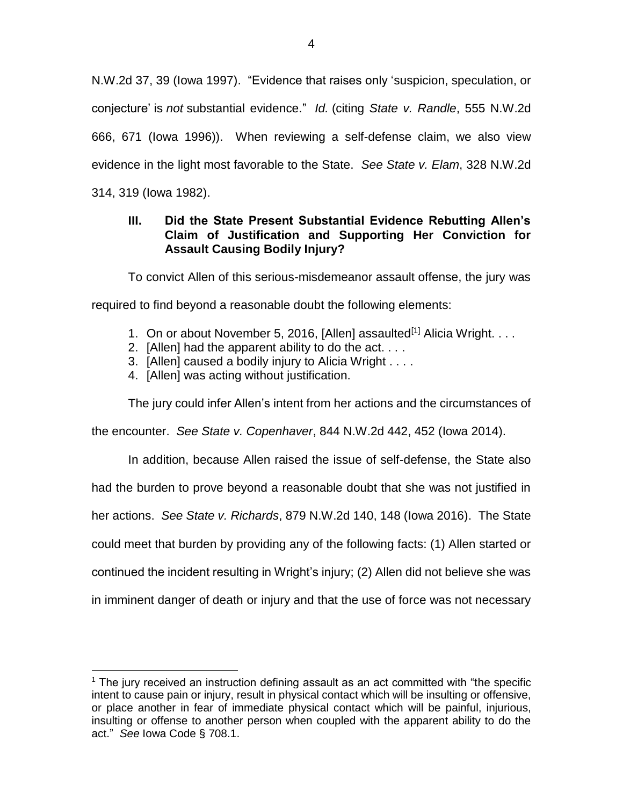N.W.2d 37, 39 (Iowa 1997). "Evidence that raises only 'suspicion, speculation, or conjecture' is *not* substantial evidence." *Id.* (citing *State v. Randle*, 555 N.W.2d 666, 671 (Iowa 1996)). When reviewing a self-defense claim, we also view evidence in the light most favorable to the State. *See State v. Elam*, 328 N.W.2d 314, 319 (Iowa 1982).

# **III. Did the State Present Substantial Evidence Rebutting Allen's Claim of Justification and Supporting Her Conviction for Assault Causing Bodily Injury?**

To convict Allen of this serious-misdemeanor assault offense, the jury was

required to find beyond a reasonable doubt the following elements:

- 1. On or about November 5, 2016, [Allen] assaulted<sup>[1]</sup> Alicia Wright.  $\dots$
- 2. [Allen] had the apparent ability to do the act. . . .
- 3. [Allen] caused a bodily injury to Alicia Wright . . . .
- 4. [Allen] was acting without justification.

 $\overline{a}$ 

The jury could infer Allen's intent from her actions and the circumstances of

the encounter. *See State v. Copenhaver*, 844 N.W.2d 442, 452 (Iowa 2014).

In addition, because Allen raised the issue of self-defense, the State also had the burden to prove beyond a reasonable doubt that she was not justified in her actions. *See State v. Richards*, 879 N.W.2d 140, 148 (Iowa 2016). The State could meet that burden by providing any of the following facts: (1) Allen started or continued the incident resulting in Wright's injury; (2) Allen did not believe she was in imminent danger of death or injury and that the use of force was not necessary

 $<sup>1</sup>$  The jury received an instruction defining assault as an act committed with "the specific</sup> intent to cause pain or injury, result in physical contact which will be insulting or offensive, or place another in fear of immediate physical contact which will be painful, injurious, insulting or offense to another person when coupled with the apparent ability to do the act." *See* Iowa Code § 708.1.